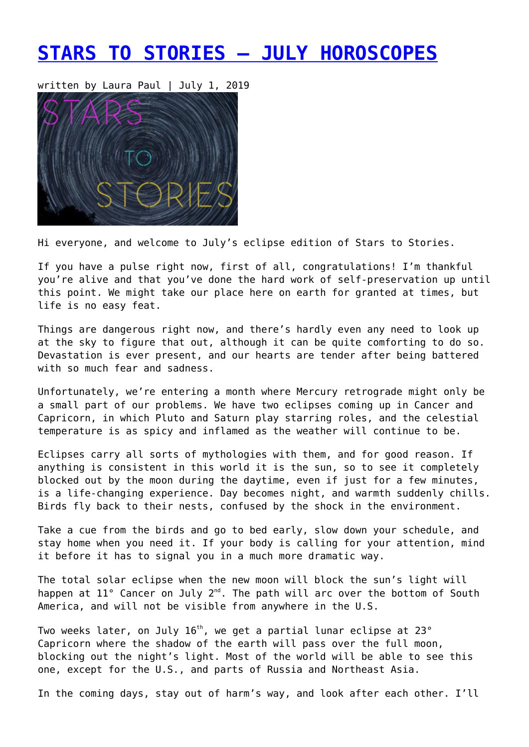# **[STARS TO STORIES – JULY HOROSCOPES](https://entropymag.org/stars-to-stories-july-horoscopes/)**

written by Laura Paul | July 1, 2019



Hi everyone, and welcome to July's eclipse edition of Stars to Stories.

If you have a pulse right now, first of all, congratulations! I'm thankful you're alive and that you've done the hard work of self-preservation up until this point. We might take our place here on earth for granted at times, but life is no easy feat.

Things are dangerous right now, and there's hardly even any need to look up at the sky to figure that out, although it can be quite comforting to do so. Devastation is ever present, and our hearts are tender after being battered with so much fear and sadness.

Unfortunately, we're entering a month where Mercury retrograde might only be a small part of our problems. We have two eclipses coming up in Cancer and Capricorn, in which Pluto and Saturn play starring roles, and the celestial temperature is as spicy and inflamed as the weather will continue to be.

Eclipses carry all sorts of mythologies with them, and for good reason. If anything is consistent in this world it is the sun, so to see it completely blocked out by the moon during the daytime, even if just for a few minutes, is a life-changing experience. Day becomes night, and warmth suddenly chills. Birds fly back to their nests, confused by the shock in the environment.

Take a cue from the birds and go to bed early, slow down your schedule, and stay home when you need it. If your body is calling for your attention, mind it before it has to signal you in a much more dramatic way.

The total solar eclipse when the new moon will block the sun's light will happen at 11° Cancer on July 2<sup>nd</sup>. The path will arc over the bottom of South America, and will not be visible from anywhere in the U.S.

Two weeks later, on July  $16<sup>th</sup>$ , we get a partial lunar eclipse at 23 $^{\circ}$ Capricorn where the shadow of the earth will pass over the full moon, blocking out the night's light. Most of the world will be able to see this one, except for the U.S., and parts of Russia and Northeast Asia.

In the coming days, stay out of harm's way, and look after each other. I'll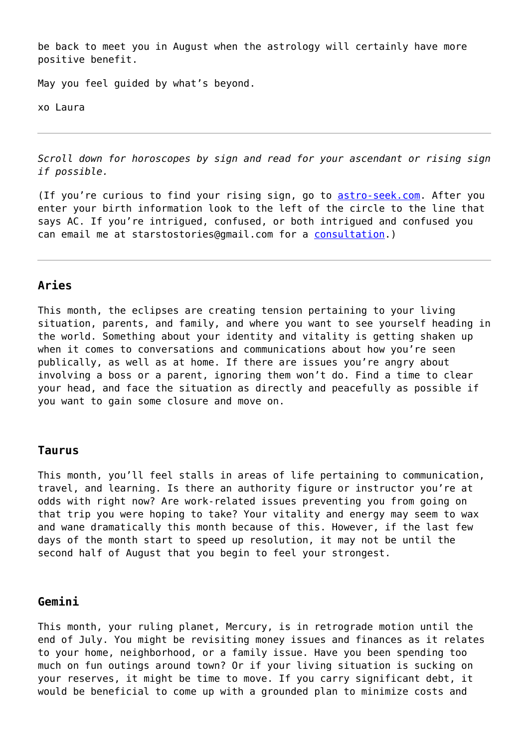be back to meet you in August when the astrology will certainly have more positive benefit.

May you feel guided by what's beyond.

xo Laura

*Scroll down for horoscopes by sign and read for your ascendant or rising sign if possible.*

(If you're curious to find your rising sign, go to [astro-seek.com.](https://entropymag.org/astro-seek.com) After you enter your birth information look to the left of the circle to the line that says AC. If you're intrigued, confused, or both intrigued and confused you can email me at starstostories@gmail.com for a [consultation](https://www.laurapaulwriter.com/consult).)

## **Aries**

This month, the eclipses are creating tension pertaining to your living situation, parents, and family, and where you want to see yourself heading in the world. Something about your identity and vitality is getting shaken up when it comes to conversations and communications about how you're seen publically, as well as at home. If there are issues you're angry about involving a boss or a parent, ignoring them won't do. Find a time to clear your head, and face the situation as directly and peacefully as possible if you want to gain some closure and move on.

#### **Taurus**

This month, you'll feel stalls in areas of life pertaining to communication, travel, and learning. Is there an authority figure or instructor you're at odds with right now? Are work-related issues preventing you from going on that trip you were hoping to take? Your vitality and energy may seem to wax and wane dramatically this month because of this. However, if the last few days of the month start to speed up resolution, it may not be until the second half of August that you begin to feel your strongest.

## **Gemini**

This month, your ruling planet, Mercury, is in retrograde motion until the end of July. You might be revisiting money issues and finances as it relates to your home, neighborhood, or a family issue. Have you been spending too much on fun outings around town? Or if your living situation is sucking on your reserves, it might be time to move. If you carry significant debt, it would be beneficial to come up with a grounded plan to minimize costs and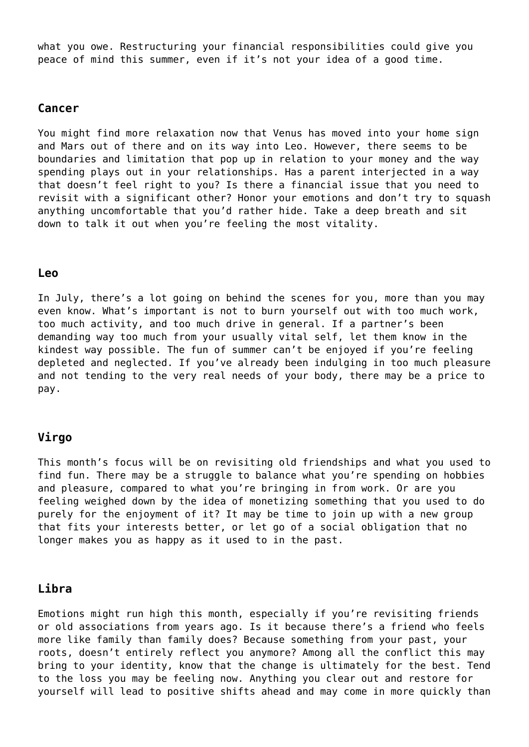what you owe. Restructuring your financial responsibilities could give you peace of mind this summer, even if it's not your idea of a good time.

### **Cancer**

You might find more relaxation now that Venus has moved into your home sign and Mars out of there and on its way into Leo. However, there seems to be boundaries and limitation that pop up in relation to your money and the way spending plays out in your relationships. Has a parent interjected in a way that doesn't feel right to you? Is there a financial issue that you need to revisit with a significant other? Honor your emotions and don't try to squash anything uncomfortable that you'd rather hide. Take a deep breath and sit down to talk it out when you're feeling the most vitality.

#### **Leo**

In July, there's a lot going on behind the scenes for you, more than you may even know. What's important is not to burn yourself out with too much work, too much activity, and too much drive in general. If a partner's been demanding way too much from your usually vital self, let them know in the kindest way possible. The fun of summer can't be enjoyed if you're feeling depleted and neglected. If you've already been indulging in too much pleasure and not tending to the very real needs of your body, there may be a price to pay.

### **Virgo**

This month's focus will be on revisiting old friendships and what you used to find fun. There may be a struggle to balance what you're spending on hobbies and pleasure, compared to what you're bringing in from work. Or are you feeling weighed down by the idea of monetizing something that you used to do purely for the enjoyment of it? It may be time to join up with a new group that fits your interests better, or let go of a social obligation that no longer makes you as happy as it used to in the past.

## **Libra**

Emotions might run high this month, especially if you're revisiting friends or old associations from years ago. Is it because there's a friend who feels more like family than family does? Because something from your past, your roots, doesn't entirely reflect you anymore? Among all the conflict this may bring to your identity, know that the change is ultimately for the best. Tend to the loss you may be feeling now. Anything you clear out and restore for yourself will lead to positive shifts ahead and may come in more quickly than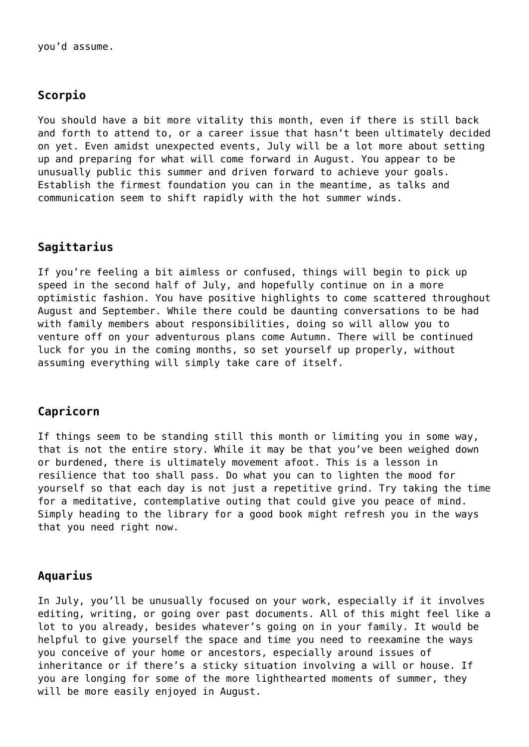# **Scorpio**

You should have a bit more vitality this month, even if there is still back and forth to attend to, or a career issue that hasn't been ultimately decided on yet. Even amidst unexpected events, July will be a lot more about setting up and preparing for what will come forward in August. You appear to be unusually public this summer and driven forward to achieve your goals. Establish the firmest foundation you can in the meantime, as talks and communication seem to shift rapidly with the hot summer winds.

# **Sagittarius**

If you're feeling a bit aimless or confused, things will begin to pick up speed in the second half of July, and hopefully continue on in a more optimistic fashion. You have positive highlights to come scattered throughout August and September. While there could be daunting conversations to be had with family members about responsibilities, doing so will allow you to venture off on your adventurous plans come Autumn. There will be continued luck for you in the coming months, so set yourself up properly, without assuming everything will simply take care of itself.

# **Capricorn**

If things seem to be standing still this month or limiting you in some way, that is not the entire story. While it may be that you've been weighed down or burdened, there is ultimately movement afoot. This is a lesson in resilience that too shall pass. Do what you can to lighten the mood for yourself so that each day is not just a repetitive grind. Try taking the time for a meditative, contemplative outing that could give you peace of mind. Simply heading to the library for a good book might refresh you in the ways that you need right now.

## **Aquarius**

In July, you'll be unusually focused on your work, especially if it involves editing, writing, or going over past documents. All of this might feel like a lot to you already, besides whatever's going on in your family. It would be helpful to give yourself the space and time you need to reexamine the ways you conceive of your home or ancestors, especially around issues of inheritance or if there's a sticky situation involving a will or house. If you are longing for some of the more lighthearted moments of summer, they will be more easily enjoyed in August.